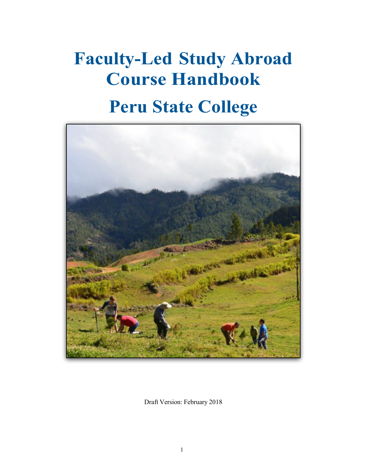# **Faculty-Led Study Abroad Course Handbook**

# **Peru State College**



Draft Version: February 2018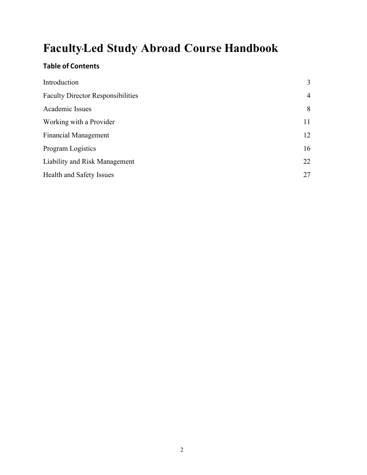# **Faculty-Led Study Abroad Course Handbook**

# **Table of Contents**

| Introduction                             | 3              |
|------------------------------------------|----------------|
| <b>Faculty Director Responsibilities</b> | $\overline{4}$ |
| Academic Issues                          | 8              |
| Working with a Provider                  | 11             |
| <b>Financial Management</b>              | 12             |
| <b>Program Logistics</b>                 | 16             |
| Liability and Risk Management            | 22             |
| Health and Safety Issues                 | 27             |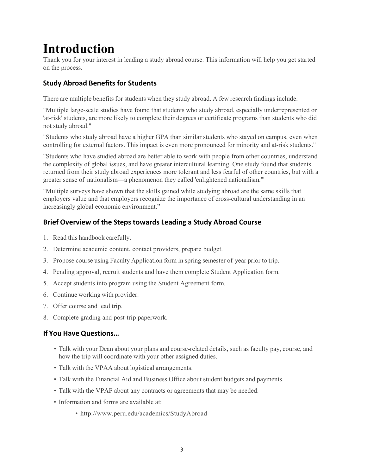# **Introduction**

Thank you for your interest in leading a study abroad course. This information will help you get started on the process.

# **Study Abroad Benefits for Students**

There are multiple benefits for students when they study abroad. A few research findings include:

"Multiple large-scale studies have found that students who study abroad, especially underrepresented or 'at-risk' students, are more likely to complete their degrees or certificate programs than students who did not study abroad."

"Students who study abroad have a higher GPA than similar students who stayed on campus, even when controlling for external factors. This impact is even more pronounced for minority and at-risk students."

"Students who have studied abroad are better able to work with people from other countries, understand the complexity of global issues, and have greater intercultural learning. One study found that students returned from their study abroad experiences more tolerant and less fearful of other countries, but with a greater sense of nationalism—a phenomenon they called 'enlightened nationalism.'"

"Multiple surveys have shown that the skills gained while studying abroad are the same skills that employers value and that employers recognize the importance of cross-cultural understanding in an increasingly global economic environment."

### **Brief Overview of the Steps towards Leading a Study Abroad Course**

- 1. Read this handbook carefully.
- 2. Determine academic content, contact providers, prepare budget.
- 3. Propose course using Faculty Application form in spring semester of year prior to trip.
- 4. Pending approval, recruit students and have them complete Student Application form.
- 5. Accept students into program using the Student Agreement form.
- 6. Continue working with provider.
- 7. Offer course and lead trip.
- 8. Complete grading and post-trip paperwork.

#### **If You Have Questions…**

- Talk with your Dean about your plans and course-related details, such as faculty pay, course, and how the trip will coordinate with your other assigned duties.
- Talk with the VPAA about logistical arrangements.
- Talk with the Financial Aid and Business Office about student budgets and payments.
- Talk with the VPAF about any contracts or agreements that may be needed.
- Information and forms are available at:
	- <http://www.peru.edu/academics/StudyAbroad>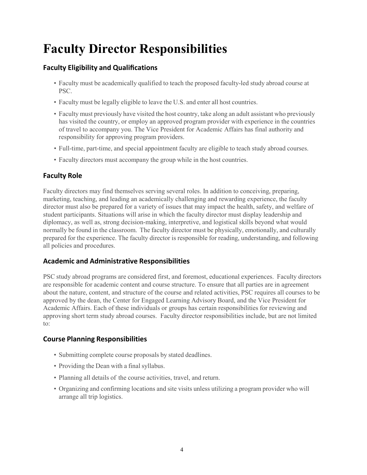# **Faculty Director Responsibilities**

### **Faculty Eligibility and Qualifications**

- Faculty must be academically qualified to teach the proposed faculty-led study abroad course at PSC.
- Faculty must be legally eligible to leave the U.S. and enter all host countries.
- Faculty must previously have visited the host country, take along an adult assistant who previously has visited the country, or employ an approved program provider with experience in the countries of travel to accompany you. The Vice President for Academic Affairs has final authority and responsibility for approving program providers.
- Full-time, part-time, and special appointment faculty are eligible to teach study abroad courses.
- Faculty directors must accompany the group while in the host countries.

### **Faculty Role**

Faculty directors may find themselves serving several roles. In addition to conceiving, preparing, marketing, teaching, and leading an academically challenging and rewarding experience, the faculty director must also be prepared for a variety of issues that may impact the health, safety, and welfare of student participants. Situations will arise in which the faculty director must display leadership and diplomacy, as well as, strong decision-making, interpretive, and logistical skills beyond what would normally be found in the classroom. The faculty director must be physically, emotionally, and culturally prepared for the experience. The faculty director is responsible for reading, understanding, and following all policies and procedures.

### **Academic and Administrative Responsibilities**

PSC study abroad programs are considered first, and foremost, educational experiences. Faculty directors are responsible for academic content and course structure. To ensure that all parties are in agreement about the nature, content, and structure of the course and related activities, PSC requires all courses to be approved by the dean, the Center for Engaged Learning Advisory Board, and the Vice President for Academic Affairs. Each of these individuals or groups has certain responsibilities for reviewing and approving short term study abroad courses. Faculty director responsibilities include, but are not limited to:

### **Course Planning Responsibilities**

- Submitting complete course proposals by stated deadlines.
- Providing the Dean with a final syllabus.
- Planning all details of the course activities, travel, and return.
- Organizing and confirming locations and site visits unless utilizing a program provider who will arrange all trip logistics.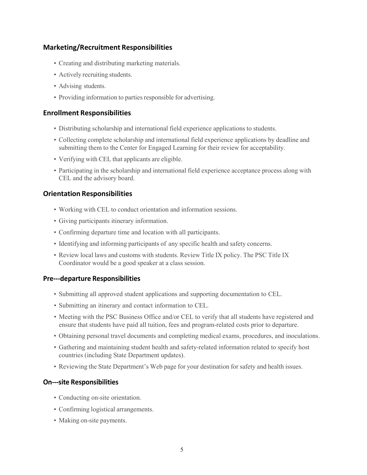#### **Marketing/Recruitment Responsibilities**

- Creating and distributing marketing materials.
- Actively recruiting students.
- Advising students.
- Providing information to parties responsible for advertising.

#### **Enrollment Responsibilities**

- Distributing scholarship and international field experience applications to students.
- Collecting complete scholarship and international field experience applications by deadline and submitting them to the Center for Engaged Learning for their review for acceptability.
- Verifying with CEL that applicants are eligible.
- Participating in the scholarship and international field experience acceptance process along with CEL and the advisory board.

#### **Orientation Responsibilities**

- Working with CEL to conduct orientation and information sessions.
- Giving participants itinerary information.
- Confirming departure time and location with all participants.
- Identifying and informing participants of any specific health and safety concerns.
- Review local laws and customs with students. Review Title IX policy. The PSC Title IX Coordinator would be a good speaker at a class session.

#### **Pre---departure Responsibilities**

- Submitting all approved student applications and supporting documentation to CEL.
- Submitting an itinerary and contact information to CEL.
- Meeting with the PSC Business Office and/or CEL to verify that all students have registered and ensure that students have paid all tuition, fees and program-related costs prior to departure.
- Obtaining personal travel documents and completing medical exams, procedures, and inoculations.
- Gathering and maintaining student health and safety-related information related to specify host countries (including State Department updates).
- Reviewing the State Department's Web page for your destination for safety and health issues.

#### **On---site Responsibilities**

- Conducting on-site orientation.
- Confirming logistical arrangements.
- Making on-site payments.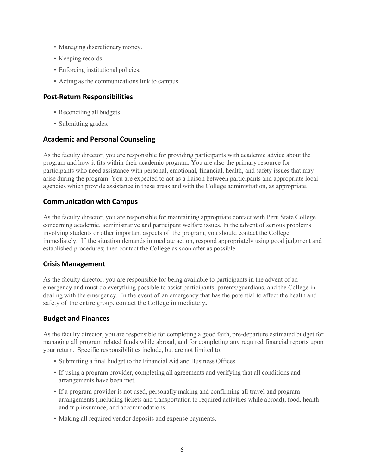- Managing discretionary money.
- Keeping records.
- Enforcing institutional policies.
- Acting as the communications link to campus.

#### **Post-Return Responsibilities**

- Reconciling all budgets.
- Submitting grades.

#### **Academic and Personal Counseling**

As the faculty director, you are responsible for providing participants with academic advice about the program and how it fits within their academic program. You are also the primary resource for participants who need assistance with personal, emotional, financial, health, and safety issues that may arise during the program. You are expected to act as a liaison between participants and appropriate local agencies which provide assistance in these areas and with the College administration, as appropriate.

#### **Communication with Campus**

As the faculty director, you are responsible for maintaining appropriate contact with Peru State College concerning academic, administrative and participant welfare issues. In the advent of serious problems involving students or other important aspects of the program, you should contact the College immediately. If the situation demands immediate action, respond appropriately using good judgment and established procedures; then contact the College as soon after as possible.

#### **Crisis Management**

As the faculty director, you are responsible for being available to participants in the advent of an emergency and must do everything possible to assist participants, parents/guardians, and the College in dealing with the emergency. In the event of an emergency that has the potential to affect the health and safety of the entire group, contact the College immediately**.**

#### **Budget and Finances**

As the faculty director, you are responsible for completing a good faith, pre-departure estimated budget for managing all program related funds while abroad, and for completing any required financial reports upon your return. Specific responsibilities include, but are not limited to:

- Submitting a final budget to the Financial Aid and Business Offices.
- If using a program provider, completing all agreements and verifying that all conditions and arrangements have been met.
- If a program provider is not used, personally making and confirming all travel and program arrangements (including tickets and transportation to required activities while abroad), food, health and trip insurance, and accommodations.
- Making all required vendor deposits and expense payments.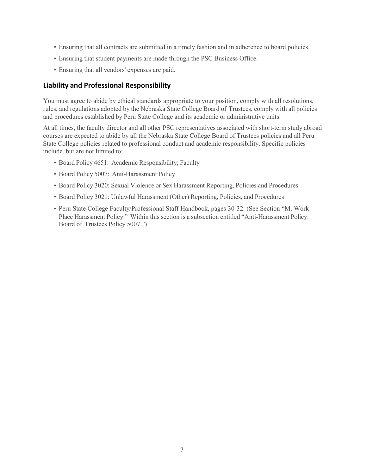- Ensuring that all contracts are submitted in a timely fashion and in adherence to board policies.
- Ensuring that student payments are made through the PSC Business Office.
- Ensuring that all vendors' expenses are paid.

#### **Liability and Professional Responsibility**

You must agree to abide by ethical standards appropriate to your position, comply with all resolutions, rules, and regulations adopted by the Nebraska State College Board of Trustees, comply with all policies and procedures established by Peru State College and its academic or administrative units.

At all times, the faculty director and all other PSC representatives associated with short-term study abroad courses are expected to abide by all the Nebraska State College Board of Trustees policies and all Peru State College policies related to professional conduct and academic responsibility. Specific policies include, but are not limited to:

- Board Policy 4651: Academic Responsibility; Faculty
- Board Policy 5007: Anti-Harassment Policy
- Board Policy 3020: Sexual Violence or Sex Harassment Reporting, Policies and Procedures
- Board Policy 3021: Unlawful Harassment (Other) Reporting, Policies, and Procedures
- Peru State College Faculty/Professional Staff Handbook, pages 30-32. (See Section "M. Work Place Harassment Policy." Within this section is a subsection entitled "Anti-Harassment Policy: Board of Trustees Policy 5007.")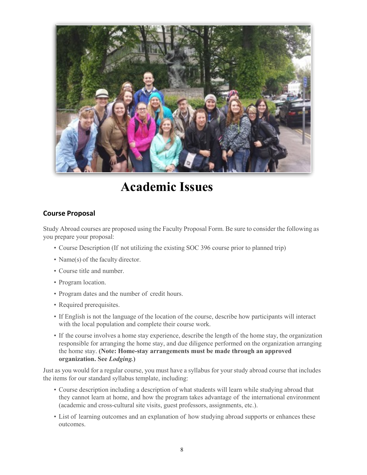

# **Academic Issues**

#### **Course Proposal**

<span id="page-7-0"></span>Study Abroad courses are proposed using the Faculty Proposal Form. Be sure to consider the following as you prepare your proposal:

- Course Description (If not utilizing the existing SOC 396 course prior to planned trip)
- Name(s) of the faculty director.
- Course title and number.
- Program location.
- Program dates and the number of credit hours.
- Required prerequisites.
- If English is not the language of the location of the course, describe how participants will interact with the local population and complete their course work.
- If the course involves a home stay experience, describe the length of the home stay, the organization responsible for arranging the home stay, and due diligence performed on the organization arranging the home stay. **(Note: Home-stay arrangements must be made through an approved organization. See** *Lodging.***)**

Just as you would for a regular course, you must have a syllabus for your study abroad course that includes the items for our standard syllabus template, including:

- Course description including a description of what students will learn while studying abroad that they cannot learn at home, and how the program takes advantage of the international environment (academic and cross-cultural site visits, guest professors, assignments, etc.).
- List of learning outcomes and an explanation of how studying abroad supports or enhances these outcomes.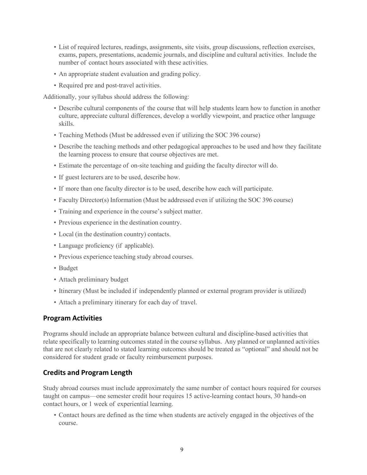- List of required lectures, readings, assignments, site visits, group discussions, reflection exercises, exams, papers, presentations, academic journals, and discipline and cultural activities. Include the number of contact hours associated with these activities.
- An appropriate student evaluation and grading policy.
- Required pre and post-travel activities.

Additionally, your syllabus should address the following:

- Describe cultural components of the course that will help students learn how to function in another culture, appreciate cultural differences, develop a worldly viewpoint, and practice other language skills.
- Teaching Methods (Must be addressed even if utilizing the SOC 396 course)
- Describe the teaching methods and other pedagogical approaches to be used and how they facilitate the learning process to ensure that course objectives are met.
- Estimate the percentage of on-site teaching and guiding the faculty director will do.
- If guest lecturers are to be used, describe how.
- If more than one faculty director is to be used, describe how each will participate.
- Faculty Director(s) Information (Must be addressed even if utilizing the SOC 396 course)
- Training and experience in the course's subject matter.
- Previous experience in the destination country.
- Local (in the destination country) contacts.
- Language proficiency (if applicable).
- Previous experience teaching study abroad courses.
- Budget
- Attach preliminary budget
- Itinerary (Must be included if independently planned or external program provider is utilized)
- Attach a preliminary itinerary for each day of travel.

#### **Program Activities**

Programs should include an appropriate balance between cultural and discipline-based activities that relate specifically to learning outcomes stated in the course syllabus. Any planned or unplanned activities that are not clearly related to stated learning outcomes should be treated as "optional" and should not be considered for student grade or faculty reimbursement purposes.

#### **Credits and Program Length**

Study abroad courses must include approximately the same number of contact hours required for courses taught on campus—one semester credit hour requires 15 active-learning contact hours, 30 hands-on contact hours, or 1 week of experiential learning.

• Contact hours are defined as the time when students are actively engaged in the objectives of the course.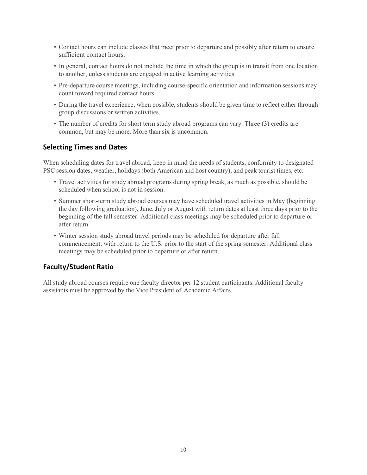- Contact hours can include classes that meet prior to departure and possibly after return to ensure sufficient contact hours.
- In general, contact hours do not include the time in which the group is in transit from one location to another, unless students are engaged in active learning activities.
- Pre-departure course meetings, including course-specific orientation and information sessions may count toward required contact hours.
- During the travel experience, when possible, students should be given time to reflect either through group discussions or written activities.
- The number of credits for short term study abroad programs can vary. Three (3) credits are common, but may be more. More than six is uncommon.

#### **Selecting Times and Dates**

When scheduling dates for travel abroad, keep in mind the needs of students, conformity to designated PSC session dates, weather, holidays (both American and host country), and peak tourist times, etc.

- Travel activities for study abroad programs during spring break, as much as possible, should be scheduled when school is not in session.
- Summer short-term study abroad courses may have scheduled travel activities in May (beginning the day following graduation), June, July or August with return dates at least three days prior to the beginning of the fall semester. Additional class meetings may be scheduled prior to departure or after return.
- Winter session study abroad travel periods may be scheduled for departure after fall commencement, with return to the U.S. prior to the start of the spring semester. Additional class meetings may be scheduled prior to departure or after return.

### **Faculty/Student Ratio**

All study abroad courses require one faculty director per 12 student participants. Additional faculty assistants must be approved by the Vice President of Academic Affairs.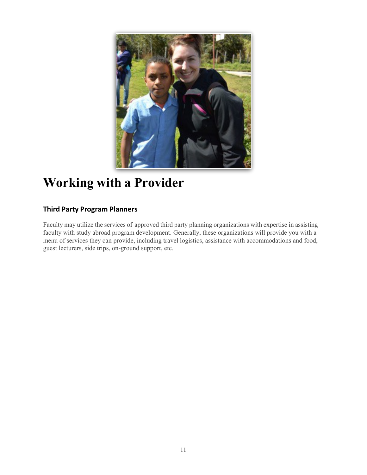

# <span id="page-10-0"></span>**Working with a Provider**

## **Third Party Program Planners**

Faculty may utilize the services of approved third party planning organizations with expertise in assisting faculty with study abroad program development. Generally, these organizations will provide you with a menu of services they can provide, including travel logistics, assistance with accommodations and food, guest lecturers, side trips, on-ground support, etc.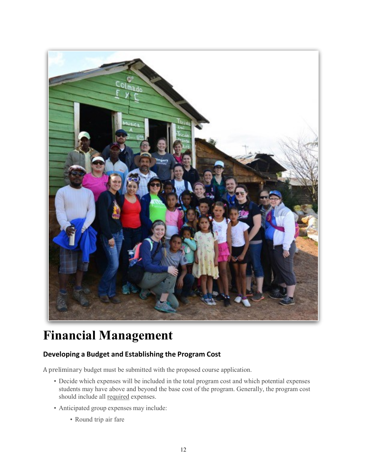

# <span id="page-11-0"></span>**Financial Management**

# **Developing a Budget and Establishing the Program Cost**

A preliminary budget must be submitted with the proposed course application.

- Decide which expenses will be included in the total program cost and which potential expenses students may have above and beyond the base cost of the program. Generally, the program cost should include all required expenses.
- Anticipated group expenses may include:
	- Round trip air fare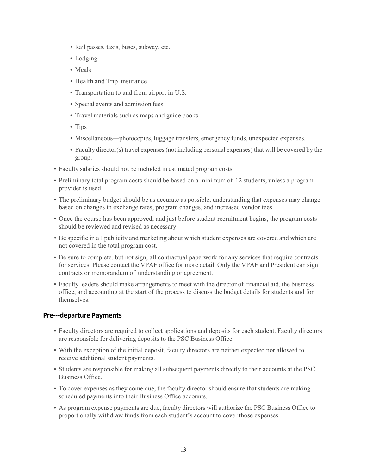- Rail passes, taxis, buses, subway, etc.
- Lodging
- Meals
- Health and Trip insurance
- Transportation to and from airport in U.S.
- Special events and admission fees
- Travel materials such as maps and guide books
- Tips
- Miscellaneous—photocopies, luggage transfers, emergency funds, unexpected expenses.
- Faculty director(s) travel expenses(not including personal expenses) that will be covered by the group.
- Faculty salaries should not be included in estimated program costs.
- Preliminary total program costs should be based on a minimum of 12 students, unless a program provider is used.
- The preliminary budget should be as accurate as possible, understanding that expenses may change based on changes in exchange rates, program changes, and increased vendor fees.
- Once the course has been approved, and just before student recruitment begins, the program costs should be reviewed and revised as necessary.
- Be specific in all publicity and marketing about which student expenses are covered and which are not covered in the total program cost.
- Be sure to complete, but not sign, all contractual paperwork for any services that require contracts for services. Please contact the VPAF office for more detail. Only the VPAF and President can sign contracts or memorandum of understanding or agreement.
- Faculty leaders should make arrangements to meet with the director of financial aid, the business office, and accounting at the start of the process to discuss the budget details for students and for themselves.

#### **Pre---departure Payments**

- Faculty directors are required to collect applications and deposits for each student. Faculty directors are responsible for delivering deposits to the PSC Business Office.
- With the exception of the initial deposit, faculty directors are neither expected nor allowed to receive additional student payments.
- Students are responsible for making all subsequent payments directly to their accounts at the PSC Business Office.
- To cover expenses as they come due, the faculty director should ensure that students are making scheduled payments into their Business Office accounts.
- As program expense payments are due, faculty directors will authorize the PSC Business Office to proportionally withdraw funds from each student's account to cover those expenses.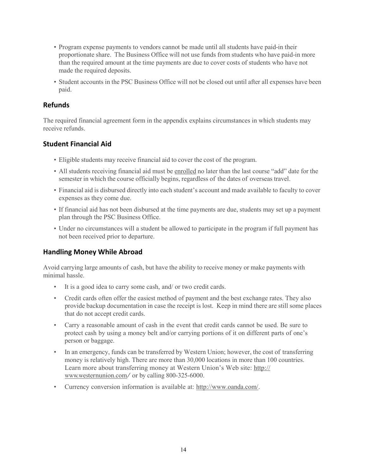- Program expense payments to vendors cannot be made until all students have paid-in their proportionate share. The Business Office will not use funds from students who have paid-in more than the required amount at the time payments are due to cover costs of students who have not made the required deposits.
- Student accounts in the PSC Business Office will not be closed out until after all expenses have been paid.

#### **Refunds**

The required financial agreement form in the appendix explains circumstances in which students may receive refunds.

#### **Student Financial Aid**

- Eligible students may receive financial aid to cover the cost of the program.
- All students receiving financial aid must be enrolled no later than the last course "add" date for the semester in which the course officially begins, regardless of the dates of overseas travel.
- Financial aid is disbursed directly into each student's account and made available to faculty to cover expenses as they come due.
- If financial aid has not been disbursed at the time payments are due, students may set up a payment plan through the PSC Business Office.
- Under no circumstances will a student be allowed to participate in the program if full payment has not been received prior to departure.

#### **Handling Money While Abroad**

Avoid carrying large amounts of cash, but have the ability to receive money or make payments with minimal hassle.

- It is a good idea to carry some cash, and/ or two credit cards.
- Credit cards often offer the easiest method of payment and the best exchange rates. They also provide backup documentation in case the receipt is lost. Keep in mind there are still some places that do not accept credit cards.
- Carry a reasonable amount of cash in the event that credit cards cannot be used. Be sure to protect cash by using a money belt and/or carrying portions of it on different parts of one's person or baggage.
- In an emergency, funds can be transferred by Western Union; however, the cost of transferring money is relatively high. There are more than 30,000 locations in more than 100 countries. Learn more about transferring money at Western Union's Web site: http:// [www.westernunion.com/](http://www.westernunion.com/) or by calling 800-325-6000.
- Currency conversion information is available at: [http://www.oanda.com/.](http://www.oanda.com/)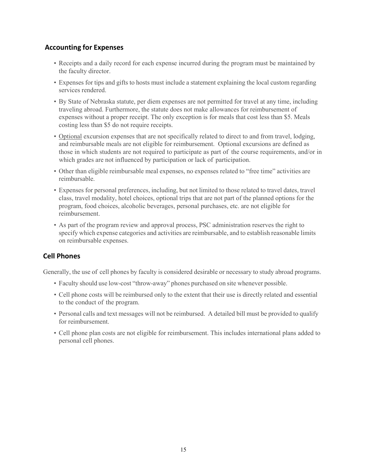#### **Accounting for Expenses**

- Receipts and a daily record for each expense incurred during the program must be maintained by the faculty director.
- Expenses for tips and gifts to hosts must include a statement explaining the local custom regarding services rendered.
- By State of Nebraska statute, per diem expenses are not permitted for travel at any time, including traveling abroad. Furthermore, the statute does not make allowances for reimbursement of expenses without a proper receipt. The only exception is for meals that cost less than \$5. Meals costing less than \$5 do not require receipts.
- Optional excursion expenses that are not specifically related to direct to and from travel, lodging, and reimbursable meals are not eligible for reimbursement. Optional excursions are defined as those in which students are not required to participate as part of the course requirements, and/or in which grades are not influenced by participation or lack of participation.
- Other than eligible reimbursable meal expenses, no expenses related to "free time" activities are reimbursable.
- Expenses for personal preferences, including, but not limited to those related to travel dates, travel class, travel modality, hotel choices, optional trips that are not part of the planned options for the program, food choices, alcoholic beverages, personal purchases, etc. are not eligible for reimbursement.
- As part of the program review and approval process, PSC administration reserves the right to specify which expense categories and activities are reimbursable, and to establish reasonable limits on reimbursable expenses.

#### **Cell Phones**

Generally, the use of cell phones by faculty is considered desirable or necessary to study abroad programs.

- Faculty should use low-cost "throw-away" phones purchased on site whenever possible.
- Cell phone costs will be reimbursed only to the extent that their use is directly related and essential to the conduct of the program.
- Personal calls and text messages will not be reimbursed. A detailed bill must be provided to qualify for reimbursement.
- Cell phone plan costs are not eligible for reimbursement. This includes international plans added to personal cell phones.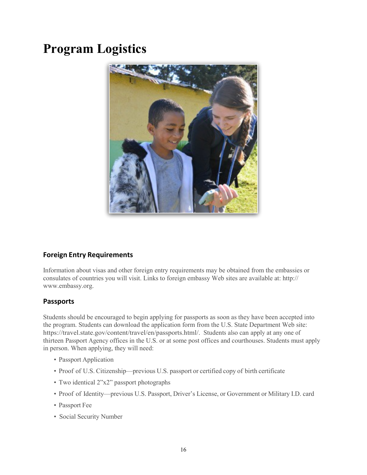# **Program Logistics**



### **Foreign Entry Requirements**

Information about visas and other foreign entry requirements may be obtained from the embassies or consulates of countries you will visit. Links to foreign embassy Web sites are available at: http:// [www.embassy.org.](http://www.embassy.org/)

#### **Passports**

Students should be encouraged to begin applying for passports as soon as they have been accepted into the program. Students can download the application form from the U.S. State Department Web site: [https://travel.state.gov/content/travel/en/passports.html/.](http://www.state.gov/m/a/dir/forms/) Students also can apply at any one of thirteen Passport Agency offices in the U.S. or at some post offices and courthouses. Students must apply in person. When applying, they will need:

- Passport Application
- Proof of U.S. Citizenship—previous U.S. passport or certified copy of birth certificate
- Two identical 2"x2" passport photographs
- Proof of Identity—previous U.S. Passport, Driver's License, or Government or Military I.D. card
- Passport Fee
- Social Security Number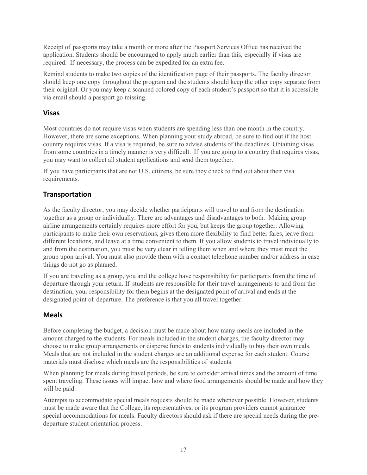Receipt of passports may take a month or more after the Passport Services Office has received the application. Students should be encouraged to apply much earlier than this, especially if visas are required. If necessary, the process can be expedited for an extra fee.

Remind students to make two copies of the identification page of their passports. The faculty director should keep one copy throughout the program and the students should keep the other copy separate from their original. Or you may keep a scanned colored copy of each student's passport so that it is accessible via email should a passport go missing.

#### **Visas**

Most countries do not require visas when students are spending less than one month in the country. However, there are some exceptions. When planning your study abroad, be sure to find out if the host country requires visas. If a visa is required, be sure to advise students of the deadlines. Obtaining visas from some countries in a timely manner is very difficult. If you are going to a country that requires visas, you may want to collect all student applications and send them together.

If you have participants that are not U.S. citizens, be sure they check to find out about their visa requirements.

#### **Transportation**

As the faculty director, you may decide whether participants will travel to and from the destination together as a group or individually. There are advantages and disadvantages to both. Making group airline arrangements certainly requires more effort for you, but keeps the group together. Allowing participants to make their own reservations, gives them more flexibility to find better fares, leave from different locations, and leave at a time convenient to them. If you allow students to travel individually to and from the destination, you must be very clear in telling them when and where they must meet the group upon arrival. You must also provide them with a contact telephone number and/or address in case things do not go as planned.

If you are traveling as a group, you and the college have responsibility for participants from the time of departure through your return. If students are responsible for their travel arrangements to and from the destination, your responsibility for them begins at the designated point of arrival and ends at the designated point of departure. The preference is that you all travel together.

#### **Meals**

Before completing the budget, a decision must be made about how many meals are included in the amount charged to the students. For meals included in the student charges, the faculty director may choose to make group arrangements or disperse funds to students individually to buy their own meals. Meals that are not included in the student charges are an additional expense for each student. Course materials must disclose which meals are the responsibilities of students.

When planning for meals during travel periods, be sure to consider arrival times and the amount of time spent traveling. These issues will impact how and where food arrangements should be made and how they will be paid.

Attempts to accommodate special meals requests should be made whenever possible. However, students must be made aware that the College, its representatives, or its program providers cannot guarantee special accommodations for meals. Faculty directors should ask if there are special needs during the predeparture student orientation process.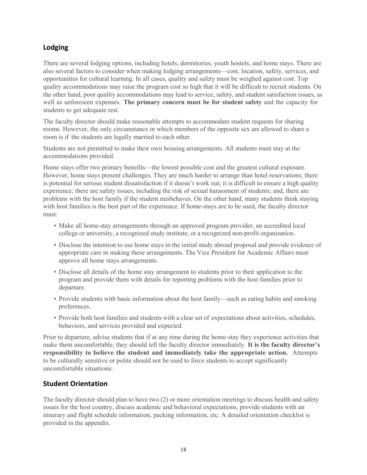#### **Lodging**

There are several lodging options, including hotels, dormitories, youth hostels, and home stays. There are also several factors to consider when making lodging arrangements—cost, location, safety, services, and opportunities for cultural learning. In all cases, quality and safety must be weighed against cost. Top quality accommodations may raise the program cost so high that it will be difficult to recruit students. On the other hand, poor quality accommodations may lead to service, safety, and student satisfaction issues, as well as unforeseen expenses. **The primary concern must be for student safety** and the capacity for students to get adequate rest.

The faculty director should make reasonable attempts to accommodate student requests for sharing rooms. However, the only circumstance in which members of the opposite sex are allowed to share a room is if the students are legally married to each other.

Students are not permitted to make their own housing arrangements. All students must stay at the accommodations provided.

Home stays offer two primary benefits—the lowest possible cost and the greatest cultural exposure. However, home stays present challenges. They are much harder to arrange than hotel reservations; there is potential for serious student dissatisfaction if it doesn't work out; it is difficult to ensure a high quality experience; there are safety issues, including the risk of sexual harassment of students; and, there are problems with the host family if the student misbehaves. On the other hand, many students think staying with host families is the best part of the experience. If home-stays are to be used, the faculty director must:

- Make all home-stay arrangements through an approved program provider, an accredited local college or university, a recognized study institute, or a recognized non-profit organization.
- Disclose the intention to use home stays in the initial study abroad proposal and provide evidence of appropriate care in making these arrangements. The Vice President for Academic Affairs must approve all home stays arrangements.
- Disclose all details of the home stay arrangement to students prior to their application to the program and provide them with details for reporting problems with the host families prior to departure.
- Provide students with basic information about the host family—such as eating habits and smoking preferences.
- Provide both host families and students with a clear set of expectations about activities, schedules, behaviors, and services provided and expected.

Prior to departure, advise students that if at any time during the home-stay they experience activities that make them uncomfortable, they should tell the faculty director immediately. **It is the faculty director's responsibility to believe the student and immediately take the appropriate action.** Attempts to be culturally sensitive or polite should not be used to force students to accept significantly uncomfortable situations.

#### **Student Orientation**

The faculty director should plan to have two (2) or more orientation meetings to discuss health and safety issues for the host country, discuss academic and behavioral expectations, provide students with an itinerary and flight schedule information, packing information, etc. A detailed orientation checklist is provided in the appendix.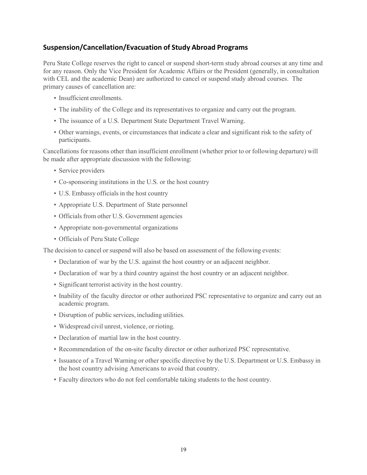#### **Suspension/Cancellation/Evacuation of Study Abroad Programs**

Peru State College reserves the right to cancel or suspend short-term study abroad courses at any time and for any reason. Only the Vice President for Academic Affairs or the President (generally, in consultation with CEL and the academic Dean) are authorized to cancel or suspend study abroad courses. The primary causes of cancellation are:

- Insufficient enrollments.
- The inability of the College and its representatives to organize and carry out the program.
- The issuance of a U.S. Department State Department Travel Warning.
- Other warnings, events, or circumstances that indicate a clear and significant risk to the safety of participants.

Cancellations for reasons other than insufficient enrollment (whether prior to or following departure) will be made after appropriate discussion with the following:

- Service providers
- Co-sponsoring institutions in the U.S. or the host country
- U.S. Embassy officials in the host country
- Appropriate U.S. Department of State personnel
- Officials from other U.S. Government agencies
- Appropriate non-governmental organizations
- Officials of Peru State College

The decision to cancel or suspend will also be based on assessment of the following events:

- Declaration of war by the U.S. against the host country or an adjacent neighbor.
- Declaration of war by a third country against the host country or an adjacent neighbor.
- Significant terrorist activity in the host country.
- Inability of the faculty director or other authorized PSC representative to organize and carry out an academic program.
- Disruption of public services, including utilities.
- Widespread civil unrest, violence, or rioting.
- Declaration of martial law in the host country.
- Recommendation of the on-site faculty director or other authorized PSC representative.
- Issuance of a Travel Warning or other specific directive by the U.S. Department or U.S. Embassy in the host country advising Americans to avoid that country.
- Faculty directors who do not feel comfortable taking students to the host country.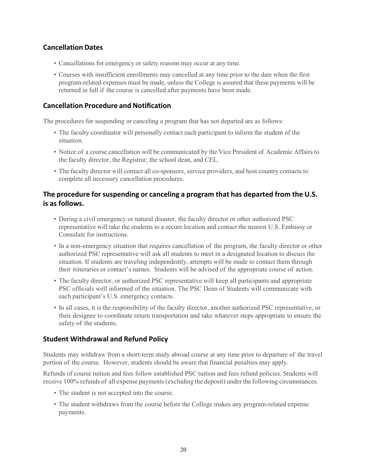#### **Cancellation Dates**

- Cancellations for emergency or safety reasons may occur at any time.
- Courses with insufficient enrollments may cancelled at any time prior to the date when the first program-related expenses must be made, unless the College is assured that these payments will be returned in full if the course is cancelled after payments have been made.

#### **Cancellation Procedure and Notification**

The procedures for suspending or canceling a program that has not departed are as follows:

- The faculty coordinator will personally contact each participant to inform the student of the situation.
- Notice of a course cancellation will be communicated by the Vice President of Academic Affairs to the faculty director, the Registrar, the school dean, and CEL.
- The faculty director will contact all co-sponsors, service providers, and host country contacts to complete all necessary cancellation procedures.

#### **The procedure for suspending or canceling a program that has departed from the U.S. is as follows.**

- During a civil emergency or natural disaster, the faculty director or other authorized PSC representative will take the students to a secure location and contact the nearest U.S. Embassy or Consulate for instructions.
- In a non-emergency situation that requires cancellation of the program, the faculty director or other authorized PSC representative will ask all students to meet in a designated location to discuss the situation. If students are traveling independently, attempts will be made to contact them through their itineraries or contact's names. Students will be advised of the appropriate course of action.
- The faculty director, or authorized PSC representative will keep all participants and appropriate PSC officials well informed of the situation. The PSC Dean of Students will communicate with each participant's U.S. emergency contacts.
- In all cases, it is the responsibility of the faculty director, another authorized PSC representative, or their designee to coordinate return transportation and take whatever steps appropriate to ensure the safety of the students.

#### **Student Withdrawal and Refund Policy**

Students may withdraw from a short-term study abroad course at any time prior to departure of the travel portion of the course. However, students should be aware that financial penalties may apply.

Refunds of course tuition and fees follow established PSC tuition and fees refund policies. Students will receive 100% refunds of all expense payments (excluding the deposit) under the following circumstances.

- The student is not accepted into the course.
- The student withdraws from the course before the College makes any program-related expense payments.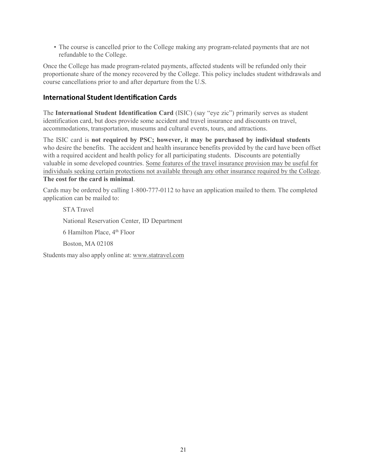• The course is cancelled prior to the College making any program-related payments that are not refundable to the College.

Once the College has made program-related payments, affected students will be refunded only their proportionate share of the money recovered by the College. This policy includes student withdrawals and course cancellations prior to and after departure from the U.S.

#### **International Student Identification Cards**

The **International Student Identification Card** (ISIC) (say "eye zic") primarily serves as student identification card, but does provide some accident and travel insurance and discounts on travel, accommodations, transportation, museums and cultural events, tours, and attractions.

The ISIC card is **not required by PSC; however, i**t **may be purchased by individual students** who desire the benefits. The accident and health insurance benefits provided by the card have been offset with a required accident and health policy for all participating students. Discounts are potentially valuable in some developed countries. Some features of the travel insurance provision may be useful for individuals seeking certain protections not available through any other insurance required by the College. **The cost for the card is minimal**.

Cards may be ordered by calling 1-800-777-0112 to have an application mailed to them. The completed application can be mailed to:

STA Travel National Reservation Center, ID Department 6 Hamilton Place, 4th Floor Boston, MA 02108 Students may also apply online at: [www.statravel.com](http://www.statravel.com/)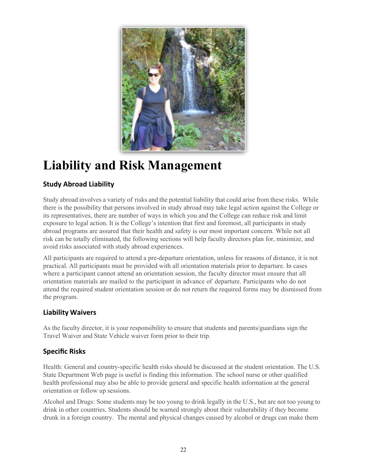

# <span id="page-21-0"></span>**Liability and Risk Management**

# **Study Abroad Liability**

Study abroad involves a variety of risks and the potential liability that could arise from these risks. While there is the possibility that persons involved in study abroad may take legal action against the College or its representatives, there are number of ways in which you and the College can reduce risk and limit exposure to legal action. It is the College's intention that first and foremost, all participants in study abroad programs are assured that their health and safety is our most important concern. While not all risk can be totally eliminated, the following sections will help faculty directors plan for, minimize, and avoid risks associated with study abroad experiences.

All participants are required to attend a pre-departure orientation, unless for reasons of distance, it is not practical. All participants must be provided with all orientation materials prior to departure. In cases where a participant cannot attend an orientation session, the faculty director must ensure that all orientation materials are mailed to the participant in advance of departure. Participants who do not attend the required student orientation session or do not return the required forms may be dismissed from the program.

### **Liability Waivers**

As the faculty director, it is your responsibility to ensure that students and parents/guardians sign the Travel Waiver and State Vehicle waiver form prior to their trip.

### **Specific Risks**

Health: General and country-specific health risks should be discussed at the student orientation. The U.S. State Department Web page is useful is finding this information. The school nurse or other qualified health professional may also be able to provide general and specific health information at the general orientation or follow up sessions.

Alcohol and Drugs: Some students may be too young to drink legally in the U.S., but are not too young to drink in other countries. Students should be warned strongly about their vulnerability if they become drunk in a foreign country. The mental and physical changes caused by alcohol or drugs can make them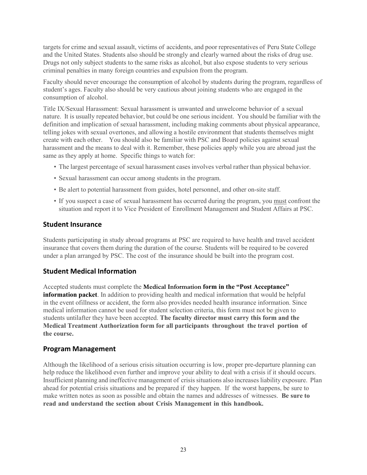targets for crime and sexual assault, victims of accidents, and poor representatives of Peru State College and the United States. Students also should be strongly and clearly warned about the risks of drug use. Drugs not only subject students to the same risks as alcohol, but also expose students to very serious criminal penalties in many foreign countries and expulsion from the program.

Faculty should never encourage the consumption of alcohol by students during the program, regardless of student's ages. Faculty also should be very cautious about joining students who are engaged in the consumption of alcohol.

Title IX/Sexual Harassment: Sexual harassment is unwanted and unwelcome behavior of a sexual nature. It is usually repeated behavior, but could be one serious incident. You should be familiar with the definition and implication of sexual harassment, including making comments about physical appearance, telling jokes with sexual overtones, and allowing a hostile environment that students themselves might create with each other. You should also be familiar with PSC and Board policies against sexual harassment and the means to deal with it. Remember, these policies apply while you are abroad just the same as they apply at home. Specific things to watch for:

- The largest percentage of sexual harassment cases involves verbal rather than physical behavior.
- Sexual harassment can occur among students in the program.
- Be alert to potential harassment from guides, hotel personnel, and other on-site staff.
- If you suspect a case of sexual harassment has occurred during the program, you must confront the situation and report it to Vice President of Enrollment Management and Student Affairs at PSC.

#### **Student Insurance**

Students participating in study abroad programs at PSC are required to have health and travel accident insurance that covers them during the duration of the course. Students will be required to be covered under a plan arranged by PSC. The cost of the insurance should be built into the program cost.

#### **Student Medical Information**

Accepted students must complete the **Medical Information form in the "Post Acceptance" information packet**. In addition to providing health and medical information that would be helpful in the event ofillness or accident, the form also provides needed health insurance information. Since medical information cannot be used for student selection criteria, this form must not be given to students untilafter they have been accepted. **The faculty director must carry this form and the Medical Treatment Authorization form for all participants throughout the travel portion of the course.**

#### **Program Management**

Although the likelihood of a serious crisis situation occurring is low, proper pre-departure planning can help reduce the likelihood even further and improve your ability to deal with a crisis if it should occurs. Insufficient planning and ineffective management of crisis situations also increases liability exposure. Plan ahead for potential crisis situations and be prepared if they happen. If the worst happens, be sure to make written notes as soon as possible and obtain the names and addresses of witnesses. **Be sure to read and understand the section about Crisis Management in this handbook.**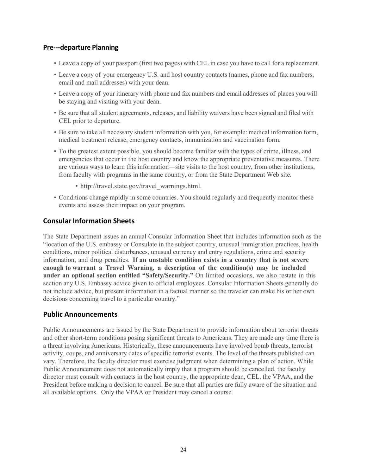#### **Pre---departure Planning**

- Leave a copy of your passport (first two pages) with CEL in case you have to call for a replacement.
- Leave a copy of your emergency U.S. and host country contacts (names, phone and fax numbers, email and mail addresses) with your dean.
- Leave a copy of your itinerary with phone and fax numbers and email addresses of places you will be staying and visiting with your dean.
- Be sure that all student agreements, releases, and liability waivers have been signed and filed with CEL prior to departure.
- Be sure to take all necessary student information with you, for example: medical information form, medical treatment release, emergency contacts, immunization and vaccination form.
- To the greatest extent possible, you should become familiar with the types of crime, illness, and emergencies that occur in the host country and know the appropriate preventative measures. There are various ways to learn this information—site visits to the host country, from other institutions, from faculty with programs in the same country, or from the State Department Web site.
	- [http://travel.state.gov/travel\\_warnings.html.](http://travel.state.gov/travel_warnings.html)
- Conditions change rapidly in some countries. You should regularly and frequently monitor these events and assess their impact on your program.

#### **Consular Information Sheets**

The State Department issues an annual Consular Information Sheet that includes information such as the "location of the U.S. embassy or Consulate in the subject country, unusual immigration practices, health conditions, minor political disturbances, unusual currency and entry regulations, crime and security information, and drug penalties. **If an unstable condition exists in a country that is not severe enough to warrant a Travel Warning, a description of the condition(s) may be included under an optional section entitled "Safety/Security."** On limited occasions, we also restate in this section any U.S. Embassy advice given to official employees. Consular Information Sheets generally do not include advice, but present information in a factual manner so the traveler can make his or her own decisions concerning travel to a particular country."

#### **Public Announcements**

Public Announcements are issued by the State Department to provide information about terrorist threats and other short-term conditions posing significant threats to Americans. They are made any time there is a threat involving Americans. Historically, these announcements have involved bomb threats, terrorist activity, coups, and anniversary dates of specific terrorist events. The level of the threats published can vary. Therefore, the faculty director must exercise judgment when determining a plan of action. While Public Announcement does not automatically imply that a program should be cancelled, the faculty director must consult with contacts in the host country, the appropriate dean, CEL, the VPAA, and the President before making a decision to cancel. Be sure that all parties are fully aware of the situation and all available options. Only the VPAA or President may cancel a course.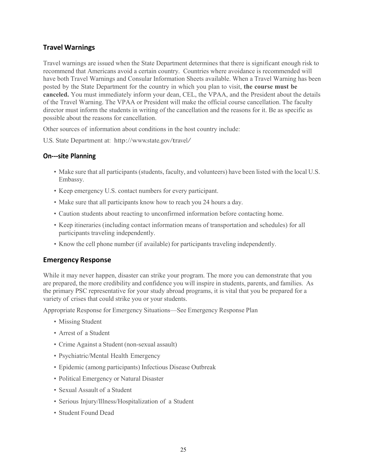#### **Travel Warnings**

Travel warnings are issued when the State Department determines that there is significant enough risk to recommend that Americans avoid a certain country. Countries where avoidance is recommended will have both Travel Warnings and Consular Information Sheets available. When a Travel Warning has been posted by the State Department for the country in which you plan to visit, **the course must be canceled.** You must immediately inform your dean, CEL, the VPAA, and the President about the details of the Travel Warning. The VPAA or President will make the official course cancellation. The faculty director must inform the students in writing of the cancellation and the reasons for it. Be as specific as possible about the reasons for cancellation.

Other sources of information about conditions in the host country include:

U.S. State Department at: <http://www.state.gov/travel/>

#### **On---site Planning**

- Make sure that all participants (students, faculty, and volunteers) have been listed with the local U.S. Embassy.
- Keep emergency U.S. contact numbers for every participant.
- Make sure that all participants know how to reach you 24 hours a day.
- Caution students about reacting to unconfirmed information before contacting home.
- Keep itineraries (including contact information means of transportation and schedules) for all participants traveling independently.
- Know the cell phone number (if available) for participants traveling independently.

#### **Emergency Response**

While it may never happen, disaster can strike your program. The more you can demonstrate that you are prepared, the more credibility and confidence you will inspire in students, parents, and families. As the primary PSC representative for your study abroad programs, it is vital that you be prepared for a variety of crises that could strike you or your students.

Appropriate Response for Emergency Situations—See Emergency Response Plan

- Missing Student
- Arrest of a Student
- Crime Against a Student (non-sexual assault)
- Psychiatric/Mental Health Emergency
- Epidemic (among participants) Infectious Disease Outbreak
- Political Emergency or Natural Disaster
- Sexual Assault of a Student
- Serious Injury/Illness/Hospitalization of a Student
- Student Found Dead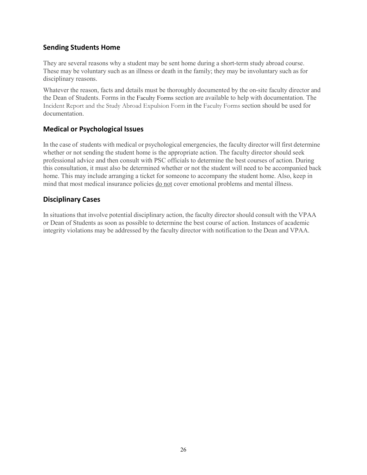#### **Sending Students Home**

They are several reasons why a student may be sent home during a short-term study abroad course. These may be voluntary such as an illness or death in the family; they may be involuntary such as for disciplinary reasons.

Whatever the reason, facts and details must be thoroughly documented by the on-site faculty director and the Dean of Students. Forms in the Faculty Forms section are available to help with documentation. The Incident Report and the Study Abroad Expulsion Form in the Faculty Forms section should be used for documentation.

#### **Medical or Psychological Issues**

In the case of students with medical or psychological emergencies, the faculty director will first determine whether or not sending the student home is the appropriate action. The faculty director should seek professional advice and then consult with PSC officials to determine the best courses of action. During this consultation, it must also be determined whether or not the student will need to be accompanied back home. This may include arranging a ticket for someone to accompany the student home. Also, keep in mind that most medical insurance policies do not cover emotional problems and mental illness.

#### **Disciplinary Cases**

In situations that involve potential disciplinary action, the faculty director should consult with the VPAA or Dean of Students as soon as possible to determine the best course of action. Instances of academic integrity violations may be addressed by the faculty director with notification to the Dean and VPAA.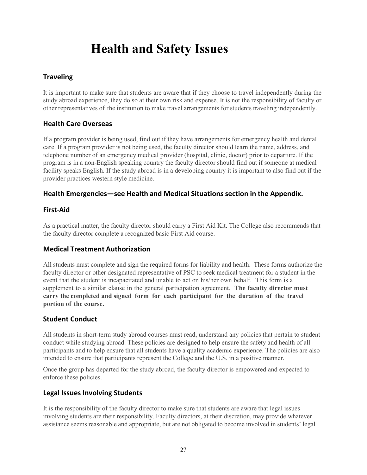# **Health and Safety Issues**

## **Traveling**

<span id="page-26-0"></span>It is important to make sure that students are aware that if they choose to travel independently during the study abroad experience, they do so at their own risk and expense. It is not the responsibility of faculty or other representatives of the institution to make travel arrangements for students traveling independently.

#### **Health Care Overseas**

If a program provider is being used, find out if they have arrangements for emergency health and dental care. If a program provider is not being used, the faculty director should learn the name, address, and telephone number of an emergency medical provider (hospital, clinic, doctor) prior to departure. If the program is in a non-English speaking country the faculty director should find out if someone at medical facility speaks English. If the study abroad is in a developing country it is important to also find out if the provider practices western style medicine.

#### **Health Emergencies—see Health and Medical Situation***s* **section in the Appendix.**

#### **First-Aid**

As a practical matter, the faculty director should carry a First Aid Kit. The College also recommends that the faculty director complete a recognized basic First Aid course.

#### **Medical Treatment Authorization**

All students must complete and sign the required forms for liability and health. These forms authorize the faculty director or other designated representative of PSC to seek medical treatment for a student in the event that the student is incapacitated and unable to act on his/her own behalf. This form is a supplement to a similar clause in the general participation agreement. **The faculty director must carry the completed and signed form for each participant for the duration of the travel portion of the course.**

#### **Student Conduct**

All students in short-term study abroad courses must read, understand any policies that pertain to student conduct while studying abroad. These policies are designed to help ensure the safety and health of all participants and to help ensure that all students have a quality academic experience. The policies are also intended to ensure that participants represent the College and the U.S. in a positive manner.

Once the group has departed for the study abroad, the faculty director is empowered and expected to enforce these policies.

#### **Legal Issues Involving Students**

It is the responsibility of the faculty director to make sure that students are aware that legal issues involving students are their responsibility. Faculty directors, at their discretion, may provide whatever assistance seems reasonable and appropriate, but are not obligated to become involved in students' legal